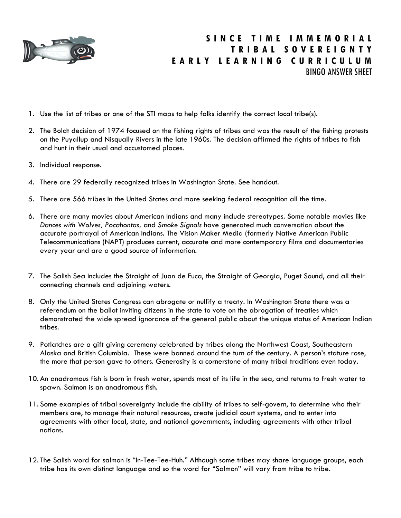

## **S I N C E T I M E I M M E M O R I A L T R I B A L S O V E R E I G N T Y E A R L Y L E A R N I N G C U R R I C U L U M** BINGO ANSWER SHEET

- 1. Use the list of tribes or one of the STI maps to help folks identify the correct local tribe(s).
- 2. The Boldt decision of 1974 focused on the fishing rights of tribes and was the result of the fishing protests on the Puyallup and Nisqually Rivers in the late 1960s. The decision affirmed the rights of tribes to fish and hunt in their usual and accustomed places.
- 3. Individual response.
- 4. There are 29 federally recognized tribes in Washington State. See handout.
- 5. There are 566 tribes in the United States and more seeking federal recognition all the time.
- 6. There are many movies about American Indians and many include stereotypes. Some notable movies like *Dances with Wolves, Pocahontas,* and *Smoke Signals* have generated much conversation about the accurate portrayal of American Indians. The Vision Maker Media (formerly Native American Public Telecommunications (NAPT) produces current, accurate and more contemporary films and documentaries every year and are a good source of information.
- 7. The Salish Sea includes the Straight of Juan de Fuca, the Straight of Georgia, Puget Sound, and all their connecting channels and adjoining waters.
- 8. Only the United States Congress can abrogate or nullify a treaty. In Washington State there was a referendum on the ballot inviting citizens in the state to vote on the abrogation of treaties which demonstrated the wide spread ignorance of the general public about the unique status of American Indian tribes.
- 9. Potlatches are a gift giving ceremony celebrated by tribes along the Northwest Coast, Southeastern Alaska and British Columbia. These were banned around the turn of the century. A person's stature rose, the more that person gave to others. Generosity is a cornerstone of many tribal traditions even today.
- 10. An anadromous fish is born in fresh water, spends most of its life in the sea, and returns to fresh water to spawn. Salmon is an anadromous fish.
- 11. Some examples of tribal sovereignty include the ability of tribes to self-govern, to determine who their members are, to manage their natural resources, create judicial court systems, and to enter into agreements with other local, state, and national governments, including agreements with other tribal nations.
- 12. The Salish word for salmon is "In-Tee-Tee-Huh." Although some tribes may share language groups, each tribe has its own distinct language and so the word for "Salmon" will vary from tribe to tribe.